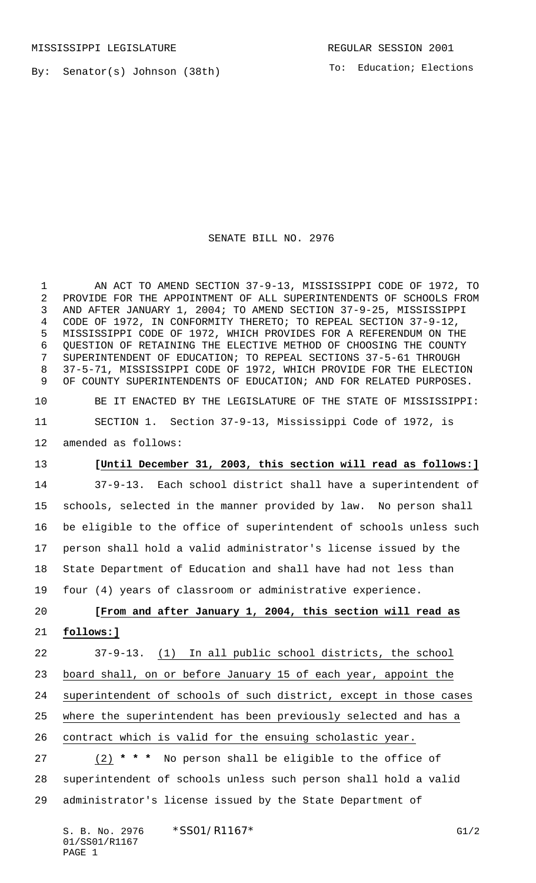By: Senator(s) Johnson (38th)

To: Education; Elections

## SENATE BILL NO. 2976

 AN ACT TO AMEND SECTION 37-9-13, MISSISSIPPI CODE OF 1972, TO PROVIDE FOR THE APPOINTMENT OF ALL SUPERINTENDENTS OF SCHOOLS FROM AND AFTER JANUARY 1, 2004; TO AMEND SECTION 37-9-25, MISSISSIPPI CODE OF 1972, IN CONFORMITY THERETO; TO REPEAL SECTION 37-9-12, MISSISSIPPI CODE OF 1972, WHICH PROVIDES FOR A REFERENDUM ON THE QUESTION OF RETAINING THE ELECTIVE METHOD OF CHOOSING THE COUNTY SUPERINTENDENT OF EDUCATION; TO REPEAL SECTIONS 37-5-61 THROUGH 37-5-71, MISSISSIPPI CODE OF 1972, WHICH PROVIDE FOR THE ELECTION 9 OF COUNTY SUPERINTENDENTS OF EDUCATION; AND FOR RELATED PURPOSES. BE IT ENACTED BY THE LEGISLATURE OF THE STATE OF MISSISSIPPI: SECTION 1. Section 37-9-13, Mississippi Code of 1972, is amended as follows: **[Until December 31, 2003, this section will read as follows:]** 37-9-13. Each school district shall have a superintendent of schools, selected in the manner provided by law. No person shall be eligible to the office of superintendent of schools unless such person shall hold a valid administrator's license issued by the State Department of Education and shall have had not less than four (4) years of classroom or administrative experience. **[From and after January 1, 2004, this section will read as follows:]** 37-9-13. (1) In all public school districts, the school board shall, on or before January 15 of each year, appoint the superintendent of schools of such district, except in those cases where the superintendent has been previously selected and has a contract which is valid for the ensuing scholastic year. (2) **\* \* \*** No person shall be eligible to the office of superintendent of schools unless such person shall hold a valid administrator's license issued by the State Department of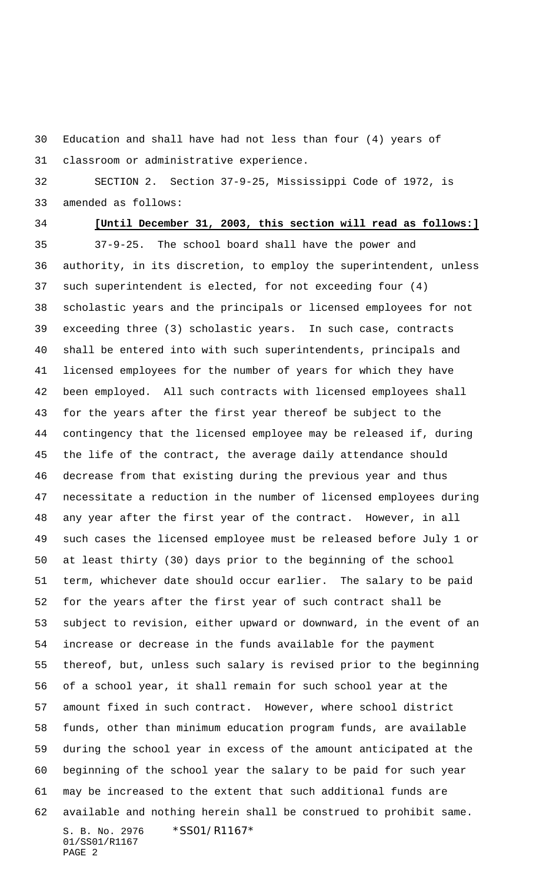Education and shall have had not less than four (4) years of classroom or administrative experience.

 SECTION 2. Section 37-9-25, Mississippi Code of 1972, is amended as follows:

## **[Until December 31, 2003, this section will read as follows:]**

S. B. No. 2976 \* SS01/R1167\* 01/SS01/R1167 PAGE 2 37-9-25. The school board shall have the power and authority, in its discretion, to employ the superintendent, unless such superintendent is elected, for not exceeding four (4) scholastic years and the principals or licensed employees for not exceeding three (3) scholastic years. In such case, contracts shall be entered into with such superintendents, principals and licensed employees for the number of years for which they have been employed. All such contracts with licensed employees shall for the years after the first year thereof be subject to the contingency that the licensed employee may be released if, during the life of the contract, the average daily attendance should decrease from that existing during the previous year and thus necessitate a reduction in the number of licensed employees during any year after the first year of the contract. However, in all such cases the licensed employee must be released before July 1 or at least thirty (30) days prior to the beginning of the school term, whichever date should occur earlier. The salary to be paid for the years after the first year of such contract shall be subject to revision, either upward or downward, in the event of an increase or decrease in the funds available for the payment thereof, but, unless such salary is revised prior to the beginning of a school year, it shall remain for such school year at the amount fixed in such contract. However, where school district funds, other than minimum education program funds, are available during the school year in excess of the amount anticipated at the beginning of the school year the salary to be paid for such year may be increased to the extent that such additional funds are available and nothing herein shall be construed to prohibit same.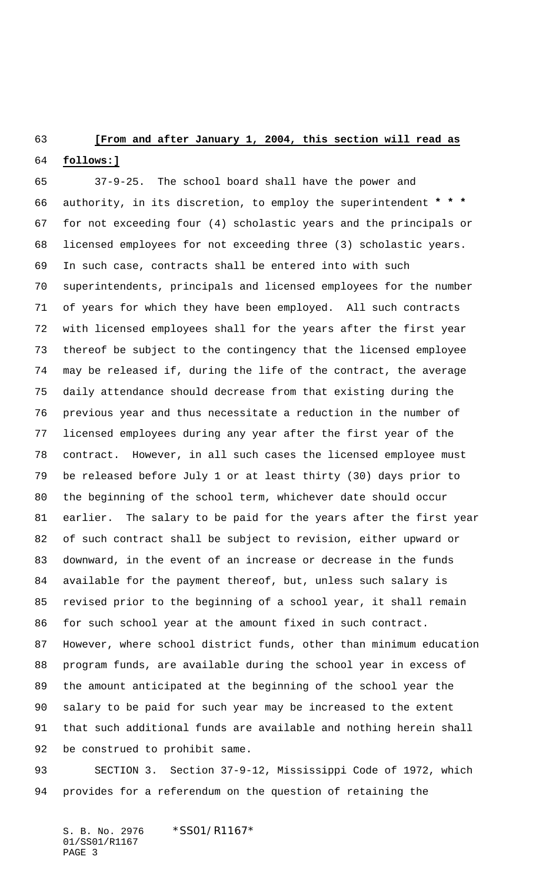## **[From and after January 1, 2004, this section will read as**

## **follows:]**

 37-9-25. The school board shall have the power and authority, in its discretion, to employ the superintendent **\* \* \*** for not exceeding four (4) scholastic years and the principals or licensed employees for not exceeding three (3) scholastic years. In such case, contracts shall be entered into with such superintendents, principals and licensed employees for the number of years for which they have been employed. All such contracts with licensed employees shall for the years after the first year thereof be subject to the contingency that the licensed employee may be released if, during the life of the contract, the average daily attendance should decrease from that existing during the previous year and thus necessitate a reduction in the number of licensed employees during any year after the first year of the contract. However, in all such cases the licensed employee must be released before July 1 or at least thirty (30) days prior to the beginning of the school term, whichever date should occur earlier. The salary to be paid for the years after the first year of such contract shall be subject to revision, either upward or downward, in the event of an increase or decrease in the funds available for the payment thereof, but, unless such salary is revised prior to the beginning of a school year, it shall remain for such school year at the amount fixed in such contract. However, where school district funds, other than minimum education program funds, are available during the school year in excess of the amount anticipated at the beginning of the school year the salary to be paid for such year may be increased to the extent that such additional funds are available and nothing herein shall be construed to prohibit same.

 SECTION 3. Section 37-9-12, Mississippi Code of 1972, which provides for a referendum on the question of retaining the

S. B. No. 2976 \* SS01/R1167\* 01/SS01/R1167 PAGE 3